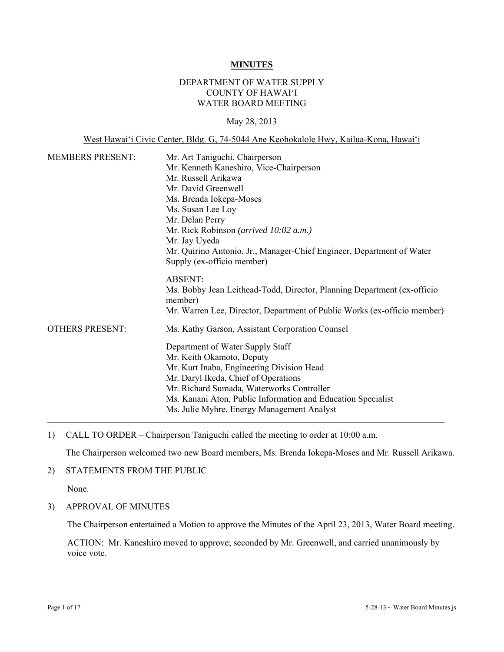#### **MINUTES**

## DEPARTMENT OF WATER SUPPLY COUNTY OF HAWAI'I WATER BOARD MEETING

#### May 28, 2013

#### West Hawai'i Civic Center, Bldg. G, 74-5044 Ane Keohokalole Hwy, Kailua-Kona, Hawai'i

| <b>MEMBERS PRESENT:</b> | Mr. Art Taniguchi, Chairperson                                                     |
|-------------------------|------------------------------------------------------------------------------------|
|                         | Mr. Kenneth Kaneshiro, Vice-Chairperson                                            |
|                         | Mr. Russell Arikawa                                                                |
|                         | Mr. David Greenwell                                                                |
|                         | Ms. Brenda Iokepa-Moses                                                            |
|                         | Ms. Susan Lee Loy                                                                  |
|                         | Mr. Delan Perry                                                                    |
|                         | Mr. Rick Robinson (arrived 10:02 a.m.)                                             |
|                         | Mr. Jay Uyeda                                                                      |
|                         | Mr. Quirino Antonio, Jr., Manager-Chief Engineer, Department of Water              |
|                         | Supply (ex-officio member)                                                         |
|                         | <b>ABSENT:</b>                                                                     |
|                         | Ms. Bobby Jean Leithead-Todd, Director, Planning Department (ex-officio<br>member) |
|                         | Mr. Warren Lee, Director, Department of Public Works (ex-officio member)           |
| <b>OTHERS PRESENT:</b>  | Ms. Kathy Garson, Assistant Corporation Counsel                                    |
|                         | Department of Water Supply Staff                                                   |
|                         | Mr. Keith Okamoto, Deputy                                                          |
|                         | Mr. Kurt Inaba, Engineering Division Head                                          |
|                         | Mr. Daryl Ikeda, Chief of Operations                                               |
|                         | Mr. Richard Sumada, Waterworks Controller                                          |
|                         | Ms. Kanani Aton, Public Information and Education Specialist                       |
|                         | Ms. Julie Myhre, Energy Management Analyst                                         |

1) CALL TO ORDER – Chairperson Taniguchi called the meeting to order at 10:00 a.m.

The Chairperson welcomed two new Board members, Ms. Brenda Iokepa-Moses and Mr. Russell Arikawa.

#### 2) STATEMENTS FROM THE PUBLIC

None.

3) APPROVAL OF MINUTES

The Chairperson entertained a Motion to approve the Minutes of the April 23, 2013, Water Board meeting.

ACTION: Mr. Kaneshiro moved to approve; seconded by Mr. Greenwell, and carried unanimously by voice vote.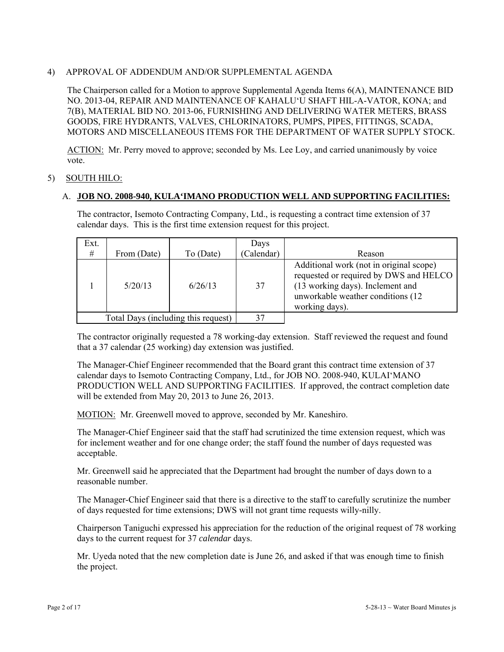## 4) APPROVAL OF ADDENDUM AND/OR SUPPLEMENTAL AGENDA

The Chairperson called for a Motion to approve Supplemental Agenda Items 6(A), MAINTENANCE BID NO. 2013-04, REPAIR AND MAINTENANCE OF KAHALU'U SHAFT HIL-A-VATOR, KONA; and 7(B), MATERIAL BID NO. 2013-06, FURNISHING AND DELIVERING WATER METERS, BRASS GOODS, FIRE HYDRANTS, VALVES, CHLORINATORS, PUMPS, PIPES, FITTINGS, SCADA, MOTORS AND MISCELLANEOUS ITEMS FOR THE DEPARTMENT OF WATER SUPPLY STOCK.

ACTION: Mr. Perry moved to approve; seconded by Ms. Lee Loy, and carried unanimously by voice vote.

## 5) SOUTH HILO:

#### A. **JOB NO. 2008-940, KULA'IMANO PRODUCTION WELL AND SUPPORTING FACILITIES:**

The contractor, Isemoto Contracting Company, Ltd., is requesting a contract time extension of 37 calendar days. This is the first time extension request for this project.

| Ext.                                |             |           | Days       |                                                                                                                                                                               |  |  |
|-------------------------------------|-------------|-----------|------------|-------------------------------------------------------------------------------------------------------------------------------------------------------------------------------|--|--|
| $\#$                                | From (Date) | To (Date) | (Calendar) | Reason                                                                                                                                                                        |  |  |
|                                     | 5/20/13     | 6/26/13   | 37         | Additional work (not in original scope)<br>requested or required by DWS and HELCO<br>(13 working days). Inclement and<br>unworkable weather conditions (12)<br>working days). |  |  |
| Total Days (including this request) |             |           |            |                                                                                                                                                                               |  |  |

The contractor originally requested a 78 working-day extension. Staff reviewed the request and found that a 37 calendar (25 working) day extension was justified.

The Manager-Chief Engineer recommended that the Board grant this contract time extension of 37 calendar days to Isemoto Contracting Company, Ltd., for JOB NO. 2008-940, KULAI'MANO PRODUCTION WELL AND SUPPORTING FACILITIES. If approved, the contract completion date will be extended from May 20, 2013 to June 26, 2013.

MOTION: Mr. Greenwell moved to approve, seconded by Mr. Kaneshiro.

The Manager-Chief Engineer said that the staff had scrutinized the time extension request, which was for inclement weather and for one change order; the staff found the number of days requested was acceptable.

Mr. Greenwell said he appreciated that the Department had brought the number of days down to a reasonable number.

The Manager-Chief Engineer said that there is a directive to the staff to carefully scrutinize the number of days requested for time extensions; DWS will not grant time requests willy-nilly.

Chairperson Taniguchi expressed his appreciation for the reduction of the original request of 78 working days to the current request for 37 *calendar* days.

Mr. Uyeda noted that the new completion date is June 26, and asked if that was enough time to finish the project.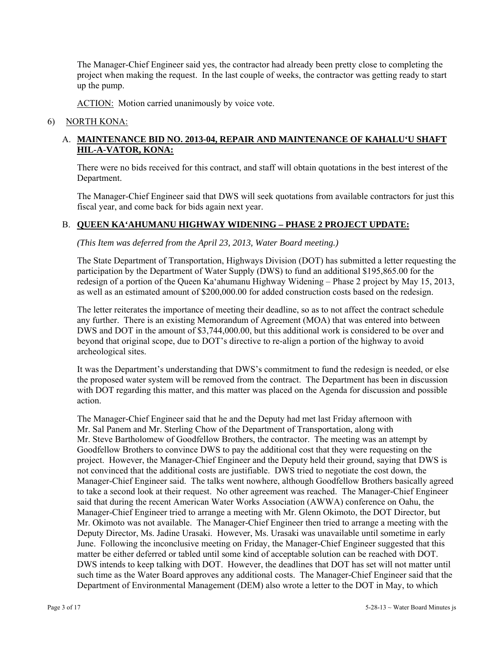The Manager-Chief Engineer said yes, the contractor had already been pretty close to completing the project when making the request. In the last couple of weeks, the contractor was getting ready to start up the pump.

ACTION: Motion carried unanimously by voice vote.

#### 6) NORTH KONA:

## A. **MAINTENANCE BID NO. 2013-04, REPAIR AND MAINTENANCE OF KAHALU'U SHAFT HIL-A-VATOR, KONA:**

There were no bids received for this contract, and staff will obtain quotations in the best interest of the Department.

The Manager-Chief Engineer said that DWS will seek quotations from available contractors for just this fiscal year, and come back for bids again next year.

## B. **QUEEN KA'AHUMANU HIGHWAY WIDENING – PHASE 2 PROJECT UPDATE:**

*(This Item was deferred from the April 23, 2013, Water Board meeting.)* 

The State Department of Transportation, Highways Division (DOT) has submitted a letter requesting the participation by the Department of Water Supply (DWS) to fund an additional \$195,865.00 for the redesign of a portion of the Queen Ka'ahumanu Highway Widening – Phase 2 project by May 15, 2013, as well as an estimated amount of \$200,000.00 for added construction costs based on the redesign.

The letter reiterates the importance of meeting their deadline, so as to not affect the contract schedule any further. There is an existing Memorandum of Agreement (MOA) that was entered into between DWS and DOT in the amount of \$3,744,000.00, but this additional work is considered to be over and beyond that original scope, due to DOT's directive to re-align a portion of the highway to avoid archeological sites.

It was the Department's understanding that DWS's commitment to fund the redesign is needed, or else the proposed water system will be removed from the contract. The Department has been in discussion with DOT regarding this matter, and this matter was placed on the Agenda for discussion and possible action.

The Manager-Chief Engineer said that he and the Deputy had met last Friday afternoon with Mr. Sal Panem and Mr. Sterling Chow of the Department of Transportation, along with Mr. Steve Bartholomew of Goodfellow Brothers, the contractor. The meeting was an attempt by Goodfellow Brothers to convince DWS to pay the additional cost that they were requesting on the project. However, the Manager-Chief Engineer and the Deputy held their ground, saying that DWS is not convinced that the additional costs are justifiable. DWS tried to negotiate the cost down, the Manager-Chief Engineer said. The talks went nowhere, although Goodfellow Brothers basically agreed to take a second look at their request. No other agreement was reached. The Manager-Chief Engineer said that during the recent American Water Works Association (AWWA) conference on Oahu, the Manager-Chief Engineer tried to arrange a meeting with Mr. Glenn Okimoto, the DOT Director, but Mr. Okimoto was not available. The Manager-Chief Engineer then tried to arrange a meeting with the Deputy Director, Ms. Jadine Urasaki. However, Ms. Urasaki was unavailable until sometime in early June. Following the inconclusive meeting on Friday, the Manager-Chief Engineer suggested that this matter be either deferred or tabled until some kind of acceptable solution can be reached with DOT. DWS intends to keep talking with DOT. However, the deadlines that DOT has set will not matter until such time as the Water Board approves any additional costs. The Manager-Chief Engineer said that the Department of Environmental Management (DEM) also wrote a letter to the DOT in May, to which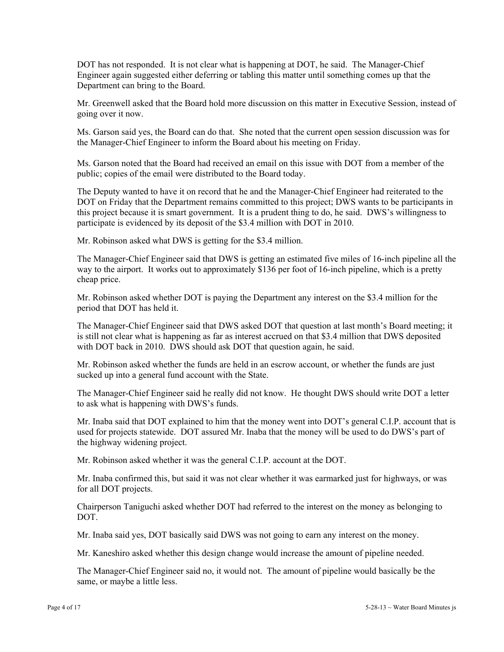DOT has not responded. It is not clear what is happening at DOT, he said. The Manager-Chief Engineer again suggested either deferring or tabling this matter until something comes up that the Department can bring to the Board.

Mr. Greenwell asked that the Board hold more discussion on this matter in Executive Session, instead of going over it now.

Ms. Garson said yes, the Board can do that. She noted that the current open session discussion was for the Manager-Chief Engineer to inform the Board about his meeting on Friday.

Ms. Garson noted that the Board had received an email on this issue with DOT from a member of the public; copies of the email were distributed to the Board today.

The Deputy wanted to have it on record that he and the Manager-Chief Engineer had reiterated to the DOT on Friday that the Department remains committed to this project; DWS wants to be participants in this project because it is smart government. It is a prudent thing to do, he said. DWS's willingness to participate is evidenced by its deposit of the \$3.4 million with DOT in 2010.

Mr. Robinson asked what DWS is getting for the \$3.4 million.

The Manager-Chief Engineer said that DWS is getting an estimated five miles of 16-inch pipeline all the way to the airport. It works out to approximately \$136 per foot of 16-inch pipeline, which is a pretty cheap price.

Mr. Robinson asked whether DOT is paying the Department any interest on the \$3.4 million for the period that DOT has held it.

The Manager-Chief Engineer said that DWS asked DOT that question at last month's Board meeting; it is still not clear what is happening as far as interest accrued on that \$3.4 million that DWS deposited with DOT back in 2010. DWS should ask DOT that question again, he said.

Mr. Robinson asked whether the funds are held in an escrow account, or whether the funds are just sucked up into a general fund account with the State.

The Manager-Chief Engineer said he really did not know. He thought DWS should write DOT a letter to ask what is happening with DWS's funds.

Mr. Inaba said that DOT explained to him that the money went into DOT's general C.I.P. account that is used for projects statewide. DOT assured Mr. Inaba that the money will be used to do DWS's part of the highway widening project.

Mr. Robinson asked whether it was the general C.I.P. account at the DOT.

Mr. Inaba confirmed this, but said it was not clear whether it was earmarked just for highways, or was for all DOT projects.

Chairperson Taniguchi asked whether DOT had referred to the interest on the money as belonging to DOT.

Mr. Inaba said yes, DOT basically said DWS was not going to earn any interest on the money.

Mr. Kaneshiro asked whether this design change would increase the amount of pipeline needed.

The Manager-Chief Engineer said no, it would not. The amount of pipeline would basically be the same, or maybe a little less.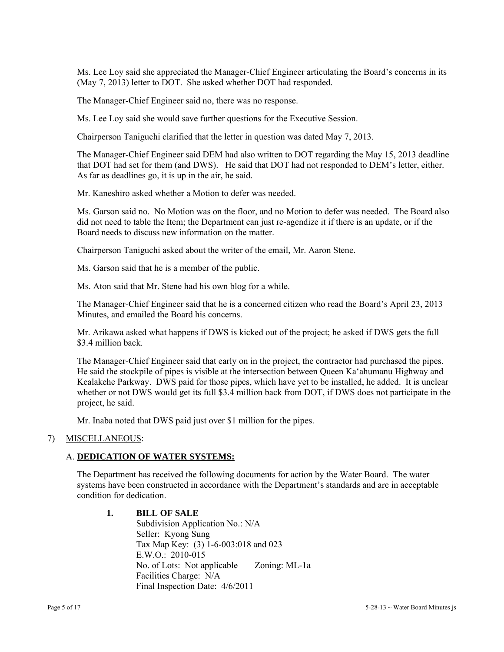Ms. Lee Loy said she appreciated the Manager-Chief Engineer articulating the Board's concerns in its (May 7, 2013) letter to DOT. She asked whether DOT had responded.

The Manager-Chief Engineer said no, there was no response.

Ms. Lee Loy said she would save further questions for the Executive Session.

Chairperson Taniguchi clarified that the letter in question was dated May 7, 2013.

The Manager-Chief Engineer said DEM had also written to DOT regarding the May 15, 2013 deadline that DOT had set for them (and DWS). He said that DOT had not responded to DEM's letter, either. As far as deadlines go, it is up in the air, he said.

Mr. Kaneshiro asked whether a Motion to defer was needed.

Ms. Garson said no. No Motion was on the floor, and no Motion to defer was needed. The Board also did not need to table the Item; the Department can just re-agendize it if there is an update, or if the Board needs to discuss new information on the matter.

Chairperson Taniguchi asked about the writer of the email, Mr. Aaron Stene.

Ms. Garson said that he is a member of the public.

Ms. Aton said that Mr. Stene had his own blog for a while.

The Manager-Chief Engineer said that he is a concerned citizen who read the Board's April 23, 2013 Minutes, and emailed the Board his concerns.

Mr. Arikawa asked what happens if DWS is kicked out of the project; he asked if DWS gets the full \$3.4 million back.

The Manager-Chief Engineer said that early on in the project, the contractor had purchased the pipes. He said the stockpile of pipes is visible at the intersection between Queen Ka'ahumanu Highway and Kealakehe Parkway. DWS paid for those pipes, which have yet to be installed, he added. It is unclear whether or not DWS would get its full \$3.4 million back from DOT, if DWS does not participate in the project, he said.

Mr. Inaba noted that DWS paid just over \$1 million for the pipes.

#### 7) MISCELLANEOUS:

## A. **DEDICATION OF WATER SYSTEMS:**

The Department has received the following documents for action by the Water Board. The water systems have been constructed in accordance with the Department's standards and are in acceptable condition for dedication.

#### **1. BILL OF SALE**

Subdivision Application No.: N/A Seller: Kyong Sung Tax Map Key: (3) 1-6-003:018 and 023 E.W.O.: 2010-015 No. of Lots: Not applicable Zoning: ML-1a Facilities Charge: N/A Final Inspection Date: 4/6/2011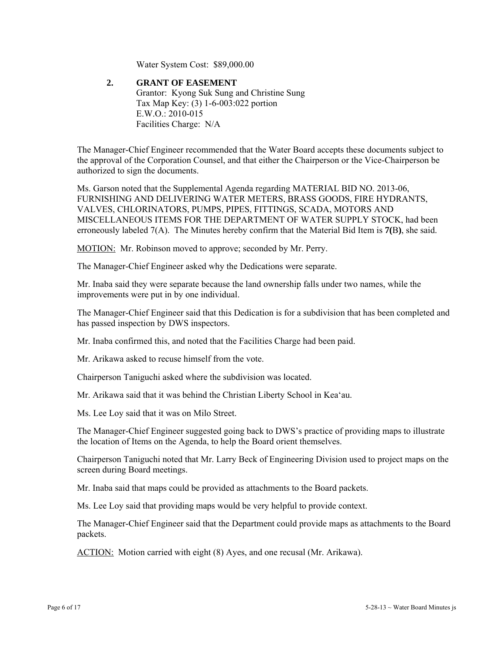Water System Cost: \$89,000.00

 **2. GRANT OF EASEMENT**  Grantor: Kyong Suk Sung and Christine Sung Tax Map Key: (3) 1-6-003:022 portion E.W.O.: 2010-015 Facilities Charge: N/A

The Manager-Chief Engineer recommended that the Water Board accepts these documents subject to the approval of the Corporation Counsel, and that either the Chairperson or the Vice-Chairperson be authorized to sign the documents.

Ms. Garson noted that the Supplemental Agenda regarding MATERIAL BID NO. 2013-06, FURNISHING AND DELIVERING WATER METERS, BRASS GOODS, FIRE HYDRANTS, VALVES, CHLORINATORS, PUMPS, PIPES, FITTINGS, SCADA, MOTORS AND MISCELLANEOUS ITEMS FOR THE DEPARTMENT OF WATER SUPPLY STOCK, had been erroneously labeled 7(A). The Minutes hereby confirm that the Material Bid Item is **7(**B**)**, she said.

MOTION: Mr. Robinson moved to approve; seconded by Mr. Perry.

The Manager-Chief Engineer asked why the Dedications were separate.

Mr. Inaba said they were separate because the land ownership falls under two names, while the improvements were put in by one individual.

The Manager-Chief Engineer said that this Dedication is for a subdivision that has been completed and has passed inspection by DWS inspectors.

Mr. Inaba confirmed this, and noted that the Facilities Charge had been paid.

Mr. Arikawa asked to recuse himself from the vote.

Chairperson Taniguchi asked where the subdivision was located.

Mr. Arikawa said that it was behind the Christian Liberty School in Kea'au.

Ms. Lee Loy said that it was on Milo Street.

The Manager-Chief Engineer suggested going back to DWS's practice of providing maps to illustrate the location of Items on the Agenda, to help the Board orient themselves.

Chairperson Taniguchi noted that Mr. Larry Beck of Engineering Division used to project maps on the screen during Board meetings.

Mr. Inaba said that maps could be provided as attachments to the Board packets.

Ms. Lee Loy said that providing maps would be very helpful to provide context.

The Manager-Chief Engineer said that the Department could provide maps as attachments to the Board packets.

ACTION: Motion carried with eight (8) Ayes, and one recusal (Mr. Arikawa).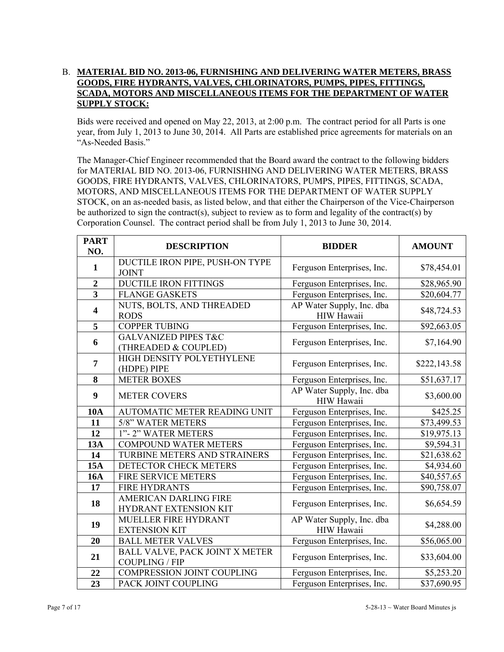## B. **MATERIAL BID NO. 2013-06, FURNISHING AND DELIVERING WATER METERS, BRASS GOODS, FIRE HYDRANTS, VALVES, CHLORINATORS, PUMPS, PIPES, FITTINGS, SCADA, MOTORS AND MISCELLANEOUS ITEMS FOR THE DEPARTMENT OF WATER SUPPLY STOCK:**

Bids were received and opened on May 22, 2013, at 2:00 p.m. The contract period for all Parts is one year, from July 1, 2013 to June 30, 2014. All Parts are established price agreements for materials on an "As-Needed Basis."

The Manager-Chief Engineer recommended that the Board award the contract to the following bidders for MATERIAL BID NO. 2013-06, FURNISHING AND DELIVERING WATER METERS, BRASS GOODS, FIRE HYDRANTS, VALVES, CHLORINATORS, PUMPS, PIPES, FITTINGS, SCADA, MOTORS, AND MISCELLANEOUS ITEMS FOR THE DEPARTMENT OF WATER SUPPLY STOCK, on an as-needed basis, as listed below, and that either the Chairperson of the Vice-Chairperson be authorized to sign the contract(s), subject to review as to form and legality of the contract(s) by Corporation Counsel. The contract period shall be from July 1, 2013 to June 30, 2014.

| <b>PART</b><br>NO.      | <b>DESCRIPTION</b>                                      | <b>BIDDER</b>                                  | <b>AMOUNT</b> |
|-------------------------|---------------------------------------------------------|------------------------------------------------|---------------|
| $\mathbf{1}$            | DUCTILE IRON PIPE, PUSH-ON TYPE<br><b>JOINT</b>         | Ferguson Enterprises, Inc.                     | \$78,454.01   |
| $\overline{2}$          | <b>DUCTILE IRON FITTINGS</b>                            | Ferguson Enterprises, Inc.                     | \$28,965.90   |
| $\overline{\mathbf{3}}$ | <b>FLANGE GASKETS</b>                                   | Ferguson Enterprises, Inc.                     | \$20,604.77   |
| $\overline{\mathbf{4}}$ | NUTS, BOLTS, AND THREADED<br><b>RODS</b>                | AP Water Supply, Inc. dba<br><b>HIW Hawaii</b> | \$48,724.53   |
| $\overline{5}$          | <b>COPPER TUBING</b>                                    | Ferguson Enterprises, Inc.                     | \$92,663.05   |
| 6                       | <b>GALVANIZED PIPES T&amp;C</b><br>(THREADED & COUPLED) | Ferguson Enterprises, Inc.                     | \$7,164.90    |
| $\overline{7}$          | HIGH DENSITY POLYETHYLENE<br>(HDPE) PIPE                | Ferguson Enterprises, Inc.                     | \$222,143.58  |
| 8                       | <b>METER BOXES</b>                                      | Ferguson Enterprises, Inc.                     | \$51,637.17   |
| 9                       | <b>METER COVERS</b>                                     | AP Water Supply, Inc. dba<br><b>HIW Hawaii</b> | \$3,600.00    |
| <b>10A</b>              | AUTOMATIC METER READING UNIT                            | Ferguson Enterprises, Inc.                     | \$425.25      |
| 11                      | 5/8" WATER METERS                                       | Ferguson Enterprises, Inc.                     | \$73,499.53   |
| 12                      | 1"-2" WATER METERS                                      | Ferguson Enterprises, Inc.                     | \$19,975.13   |
| <b>13A</b>              | <b>COMPOUND WATER METERS</b>                            | Ferguson Enterprises, Inc.                     | \$9,594.31    |
| 14                      | TURBINE METERS AND STRAINERS                            | Ferguson Enterprises, Inc.                     | \$21,638.62   |
| <b>15A</b>              | DETECTOR CHECK METERS                                   | Ferguson Enterprises, Inc.                     | \$4,934.60    |
| <b>16A</b>              | FIRE SERVICE METERS                                     | Ferguson Enterprises, Inc.                     | \$40,557.65   |
| 17                      | <b>FIRE HYDRANTS</b>                                    | Ferguson Enterprises, Inc.                     | \$90,758.07   |
| 18                      | <b>AMERICAN DARLING FIRE</b><br>HYDRANT EXTENSION KIT   | Ferguson Enterprises, Inc.                     | \$6,654.59    |
| 19                      | MUELLER FIRE HYDRANT<br><b>EXTENSION KIT</b>            | AP Water Supply, Inc. dba<br>HIW Hawaii        | \$4,288.00    |
| 20                      | <b>BALL METER VALVES</b>                                | Ferguson Enterprises, Inc.                     | \$56,065.00   |
| 21                      | BALL VALVE, PACK JOINT X METER<br><b>COUPLING / FIP</b> | Ferguson Enterprises, Inc.                     | \$33,604.00   |
| 22                      | COMPRESSION JOINT COUPLING                              | Ferguson Enterprises, Inc.                     | \$5,253.20    |
| 23                      | PACK JOINT COUPLING                                     | Ferguson Enterprises, Inc.                     | \$37,690.95   |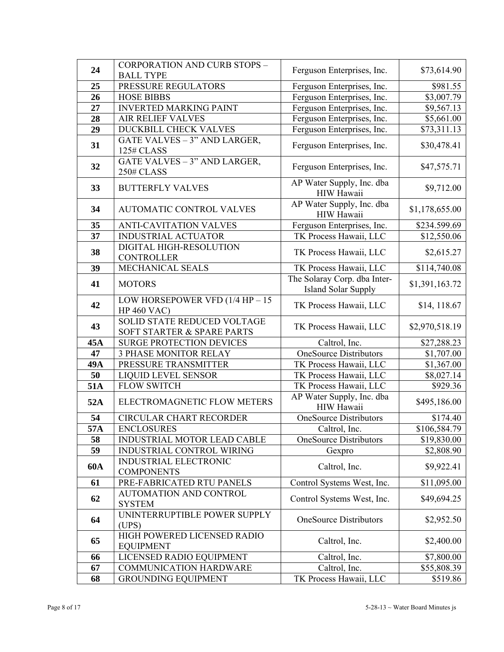| 24  | <b>CORPORATION AND CURB STOPS -</b>                       | Ferguson Enterprises, Inc.                                 | \$73,614.90            |
|-----|-----------------------------------------------------------|------------------------------------------------------------|------------------------|
|     | <b>BALL TYPE</b>                                          |                                                            |                        |
| 25  | PRESSURE REGULATORS                                       | Ferguson Enterprises, Inc.                                 | \$981.55               |
| 26  | <b>HOSE BIBBS</b>                                         | Ferguson Enterprises, Inc.                                 | $\overline{$}3,007.79$ |
| 27  | <b>INVERTED MARKING PAINT</b>                             | Ferguson Enterprises, Inc.                                 | \$9,567.13             |
| 28  | <b>AIR RELIEF VALVES</b>                                  | Ferguson Enterprises, Inc.                                 | \$5,661.00             |
| 29  | <b>DUCKBILL CHECK VALVES</b>                              | Ferguson Enterprises, Inc.                                 | \$73,311.13            |
| 31  | GATE VALVES - 3" AND LARGER,<br>125# CLASS                | Ferguson Enterprises, Inc.                                 | \$30,478.41            |
| 32  | GATE VALVES - 3" AND LARGER,<br>250# CLASS                | Ferguson Enterprises, Inc.                                 | \$47,575.71            |
| 33  | <b>BUTTERFLY VALVES</b>                                   | AP Water Supply, Inc. dba<br>HIW Hawaii                    | \$9,712.00             |
| 34  | <b>AUTOMATIC CONTROL VALVES</b>                           | AP Water Supply, Inc. dba<br>HIW Hawaii                    | \$1,178,655.00         |
| 35  | <b>ANTI-CAVITATION VALVES</b>                             | Ferguson Enterprises, Inc.                                 | \$234.599.69           |
| 37  | <b>INDUSTRIAL ACTUATOR</b>                                | TK Process Hawaii, LLC                                     | \$12,550.06            |
| 38  | DIGITAL HIGH-RESOLUTION<br><b>CONTROLLER</b>              | TK Process Hawaii, LLC                                     | \$2,615.27             |
| 39  | MECHANICAL SEALS                                          | TK Process Hawaii, LLC                                     | \$114,740.08           |
| 41  | <b>MOTORS</b>                                             | The Solaray Corp. dba Inter-<br><b>Island Solar Supply</b> | \$1,391,163.72         |
| 42  | LOW HORSEPOWER VFD $(1/4$ HP $- 15$<br><b>HP 460 VAC)</b> | TK Process Hawaii, LLC                                     | \$14, 118.67           |
| 43  | SOLID STATE REDUCED VOLTAGE<br>SOFT STARTER & SPARE PARTS | TK Process Hawaii, LLC                                     | \$2,970,518.19         |
| 45A | <b>SURGE PROTECTION DEVICES</b>                           | Caltrol, Inc.                                              | \$27,288.23            |
| 47  | <b>3 PHASE MONITOR RELAY</b>                              | OneSource Distributors                                     | \$1,707.00             |
| 49A | PRESSURE TRANSMITTER                                      | TK Process Hawaii, LLC                                     | \$1,367.00             |
| 50  | <b>LIQUID LEVEL SENSOR</b>                                | TK Process Hawaii, LLC                                     | \$8,027.14             |
| 51A | <b>FLOW SWITCH</b>                                        | TK Process Hawaii, LLC                                     | \$929.36               |
| 52A | ELECTROMAGNETIC FLOW METERS                               | AP Water Supply, Inc. dba<br>HIW Hawaii                    | \$495,186.00           |
| 54  | <b>CIRCULAR CHART RECORDER</b>                            | <b>OneSource Distributors</b>                              | \$174.40               |
| 57A | <b>ENCLOSURES</b>                                         | Caltrol, Inc.                                              | \$106,584.79           |
| 58  | INDUSTRIAL MOTOR LEAD CABLE                               | <b>OneSource Distributors</b>                              | \$19,830.00            |
| 59  | <b>INDUSTRIAL CONTROL WIRING</b>                          | Gexpro                                                     | \$2,808.90             |
| 60A | <b>INDUSTRIAL ELECTRONIC</b><br><b>COMPONENTS</b>         | Caltrol, Inc.                                              | \$9,922.41             |
| 61  | PRE-FABRICATED RTU PANELS                                 | Control Systems West, Inc.                                 | \$11,095.00            |
| 62  | <b>AUTOMATION AND CONTROL</b><br><b>SYSTEM</b>            | Control Systems West, Inc.                                 | \$49,694.25            |
| 64  | UNINTERRUPTIBLE POWER SUPPLY<br>(UPS)                     | <b>OneSource Distributors</b>                              | \$2,952.50             |
| 65  | HIGH POWERED LICENSED RADIO<br><b>EQUIPMENT</b>           | Caltrol, Inc.                                              | \$2,400.00             |
| 66  | LICENSED RADIO EQUIPMENT                                  | Caltrol, Inc.                                              | \$7,800.00             |
| 67  | <b>COMMUNICATION HARDWARE</b>                             | Caltrol, Inc.                                              | \$55,808.39            |
| 68  | <b>GROUNDING EQUIPMENT</b>                                | TK Process Hawaii, LLC                                     | \$519.86               |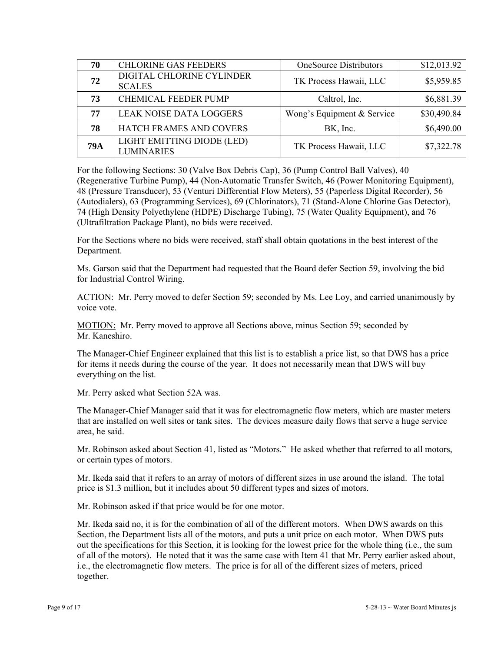| 70         | <b>CHLORINE GAS FEEDERS</b>                     | <b>OneSource Distributors</b> | \$12,013.92 |
|------------|-------------------------------------------------|-------------------------------|-------------|
| 72         | DIGITAL CHLORINE CYLINDER<br><b>SCALES</b>      | TK Process Hawaii, LLC        | \$5,959.85  |
| 73         | <b>CHEMICAL FEEDER PUMP</b>                     | Caltrol, Inc.                 | \$6,881.39  |
| 77         | <b>LEAK NOISE DATA LOGGERS</b>                  | Wong's Equipment & Service    | \$30,490.84 |
| 78         | HATCH FRAMES AND COVERS                         | BK, Inc.                      | \$6,490.00  |
| <b>79A</b> | LIGHT EMITTING DIODE (LED)<br><b>LUMINARIES</b> | TK Process Hawaii, LLC        | \$7,322.78  |

For the following Sections: 30 (Valve Box Debris Cap), 36 (Pump Control Ball Valves), 40 (Regenerative Turbine Pump), 44 (Non-Automatic Transfer Switch, 46 (Power Monitoring Equipment), 48 (Pressure Transducer), 53 (Venturi Differential Flow Meters), 55 (Paperless Digital Recorder), 56 (Autodialers), 63 (Programming Services), 69 (Chlorinators), 71 (Stand-Alone Chlorine Gas Detector), 74 (High Density Polyethylene (HDPE) Discharge Tubing), 75 (Water Quality Equipment), and 76 (Ultrafiltration Package Plant), no bids were received.

For the Sections where no bids were received, staff shall obtain quotations in the best interest of the Department.

Ms. Garson said that the Department had requested that the Board defer Section 59, involving the bid for Industrial Control Wiring.

ACTION: Mr. Perry moved to defer Section 59; seconded by Ms. Lee Loy, and carried unanimously by voice vote.

MOTION: Mr. Perry moved to approve all Sections above, minus Section 59; seconded by Mr. Kaneshiro.

The Manager-Chief Engineer explained that this list is to establish a price list, so that DWS has a price for items it needs during the course of the year. It does not necessarily mean that DWS will buy everything on the list.

Mr. Perry asked what Section 52A was.

The Manager-Chief Manager said that it was for electromagnetic flow meters, which are master meters that are installed on well sites or tank sites. The devices measure daily flows that serve a huge service area, he said.

Mr. Robinson asked about Section 41, listed as "Motors." He asked whether that referred to all motors, or certain types of motors.

Mr. Ikeda said that it refers to an array of motors of different sizes in use around the island. The total price is \$1.3 million, but it includes about 50 different types and sizes of motors.

Mr. Robinson asked if that price would be for one motor.

Mr. Ikeda said no, it is for the combination of all of the different motors. When DWS awards on this Section, the Department lists all of the motors, and puts a unit price on each motor. When DWS puts out the specifications for this Section, it is looking for the lowest price for the whole thing (i.e., the sum of all of the motors). He noted that it was the same case with Item 41 that Mr. Perry earlier asked about, i.e., the electromagnetic flow meters. The price is for all of the different sizes of meters, priced together.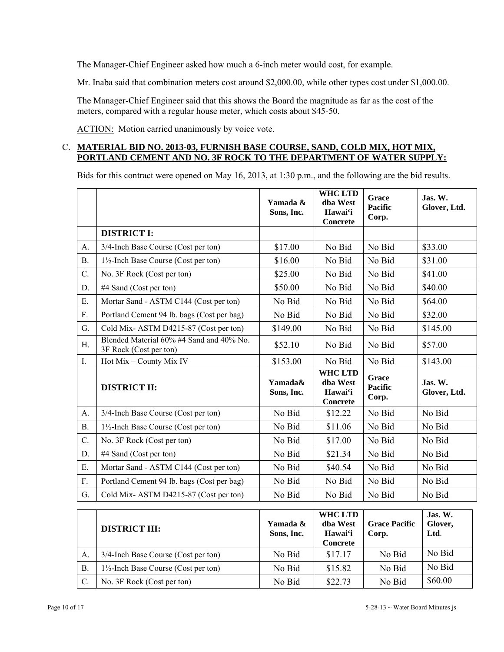The Manager-Chief Engineer asked how much a 6-inch meter would cost, for example.

Mr. Inaba said that combination meters cost around \$2,000.00, while other types cost under \$1,000.00.

The Manager-Chief Engineer said that this shows the Board the magnitude as far as the cost of the meters, compared with a regular house meter, which costs about \$45-50.

ACTION: Motion carried unanimously by voice vote.

## C. **MATERIAL BID NO. 2013-03, FURNISH BASE COURSE, SAND, COLD MIX, HOT MIX, PORTLAND CEMENT AND NO. 3F ROCK TO THE DEPARTMENT OF WATER SUPPLY:**

Bids for this contract were opened on May 16, 2013, at 1:30 p.m., and the following are the bid results.

|           |                                                                    | Yamada &<br>Sons, Inc. | <b>WHC LTD</b><br>dba West<br>Hawai'i<br>Concrete | Grace<br><b>Pacific</b><br>Corp. | $\mathbf{J}$ as. W.<br>Glover, Ltd. |
|-----------|--------------------------------------------------------------------|------------------------|---------------------------------------------------|----------------------------------|-------------------------------------|
|           | <b>DISTRICT I:</b>                                                 |                        |                                                   |                                  |                                     |
| A.        | 3/4-Inch Base Course (Cost per ton)                                | \$17.00                | No Bid                                            | No Bid                           | \$33.00                             |
| В.        | 1½-Inch Base Course (Cost per ton)                                 | \$16.00                | No Bid                                            | No Bid                           | \$31.00                             |
| C.        | No. 3F Rock (Cost per ton)                                         | \$25.00                | No Bid                                            | No Bid                           | \$41.00                             |
| D.        | #4 Sand (Cost per ton)                                             | \$50.00                | No Bid                                            | No Bid                           | \$40.00                             |
| E.        | Mortar Sand - ASTM C144 (Cost per ton)                             | No Bid                 | No Bid                                            | No Bid                           | \$64.00                             |
| F.        | Portland Cement 94 lb. bags (Cost per bag)                         | No Bid                 | No Bid                                            | No Bid                           | \$32.00                             |
| G.        | Cold Mix-ASTM D4215-87 (Cost per ton)                              | \$149.00               | No Bid                                            | No Bid                           | \$145.00                            |
| H.        | Blended Material 60% #4 Sand and 40% No.<br>3F Rock (Cost per ton) | \$52.10                | No Bid                                            | No Bid                           | \$57.00                             |
| Ι.        | Hot Mix - County Mix IV                                            | \$153.00               | No Bid                                            | No Bid                           | \$143.00                            |
|           | <b>DISTRICT II:</b>                                                | Yamada&<br>Sons, Inc.  | <b>WHC LTD</b><br>dba West<br>Hawai'i<br>Concrete | Grace<br><b>Pacific</b><br>Corp. | Jas. W.<br>Glover, Ltd.             |
| A.        | 3/4-Inch Base Course (Cost per ton)                                | No Bid                 | \$12.22                                           | No Bid                           | No Bid                              |
| <b>B.</b> | $1\frac{1}{2}$ -Inch Base Course (Cost per ton)                    | No Bid                 | \$11.06                                           | No Bid                           | No Bid                              |
| C.        | No. 3F Rock (Cost per ton)                                         | No Bid                 | \$17.00                                           | No Bid                           | No Bid                              |
| D.        | #4 Sand (Cost per ton)                                             | No Bid                 | \$21.34                                           | No Bid                           | No Bid                              |
| Ε.        | Mortar Sand - ASTM C144 (Cost per ton)                             | No Bid                 | \$40.54                                           | No Bid                           | No Bid                              |
| F.        | Portland Cement 94 lb. bags (Cost per bag)                         | No Bid                 | No Bid                                            | No Bid                           | No Bid                              |
| G.        | Cold Mix-ASTM D4215-87 (Cost per ton)                              | No Bid                 | No Bid                                            | No Bid                           | No Bid                              |
|           |                                                                    |                        |                                                   |                                  |                                     |

|               | <b>DISTRICT III:</b>                            | Yamada &<br>Sons, Inc. | WHC LTD<br>dha West<br>Hawai'i<br><b>Concrete</b> | <b>Grace Pacific</b><br>Corp. | Jas. W.<br>Glover,<br>Ltd. |
|---------------|-------------------------------------------------|------------------------|---------------------------------------------------|-------------------------------|----------------------------|
| A.            | 3/4-Inch Base Course (Cost per ton)             | No Bid                 | \$17.17                                           | No Bid                        | No Bid                     |
| B             | $1\frac{1}{2}$ -Inch Base Course (Cost per ton) | No Bid                 | \$15.82                                           | No Bid                        | No Bid                     |
| $\mathcal{C}$ | No. 3F Rock (Cost per ton)                      | No Bid                 | \$22.73                                           | No Bid                        | \$60.00                    |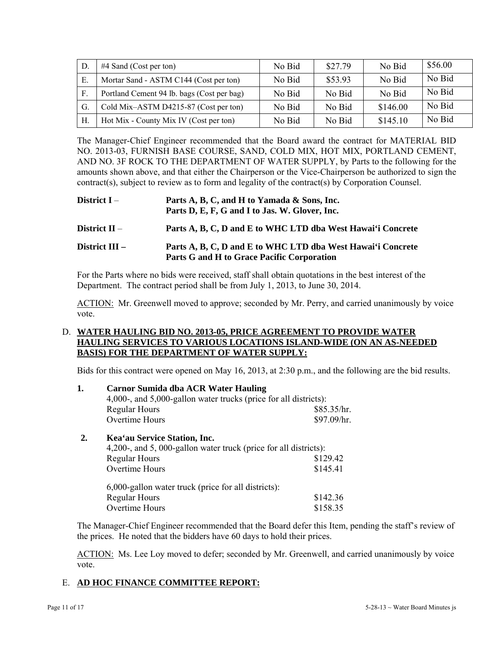| D            | $#4$ Sand (Cost per ton)                   | No Bid | \$27.79 | No Bid   | \$56.00 |
|--------------|--------------------------------------------|--------|---------|----------|---------|
| Е.           | Mortar Sand - ASTM C144 (Cost per ton)     | No Bid | \$53.93 | No Bid   | No Bid  |
| $\mathbf{F}$ | Portland Cement 94 lb. bags (Cost per bag) | No Bid | No Bid  | No Bid   | No Bid  |
| G.           | Cold Mix-ASTM D4215-87 (Cost per ton)      | No Bid | No Bid  | \$146.00 | No Bid  |
| Н.           | Hot Mix - County Mix IV (Cost per ton)     | No Bid | No Bid  | \$145.10 | No Bid  |

The Manager-Chief Engineer recommended that the Board award the contract for MATERIAL BID NO. 2013-03, FURNISH BASE COURSE, SAND, COLD MIX, HOT MIX, PORTLAND CEMENT, AND NO. 3F ROCK TO THE DEPARTMENT OF WATER SUPPLY, by Parts to the following for the amounts shown above, and that either the Chairperson or the Vice-Chairperson be authorized to sign the contract(s), subject to review as to form and legality of the contract(s) by Corporation Counsel.

| District $I -$   | Parts A, B, C, and H to Yamada & Sons, Inc.<br>Parts D, E, F, G and I to Jas. W. Glover, Inc.             |
|------------------|-----------------------------------------------------------------------------------------------------------|
| District $II -$  | Parts A, B, C, D and E to WHC LTD dba West Hawai'i Concrete                                               |
| District $III -$ | Parts A, B, C, D and E to WHC LTD dba West Hawai'i Concrete<br>Parts G and H to Grace Pacific Corporation |

For the Parts where no bids were received, staff shall obtain quotations in the best interest of the Department. The contract period shall be from July 1, 2013, to June 30, 2014.

ACTION: Mr. Greenwell moved to approve; seconded by Mr. Perry, and carried unanimously by voice vote.

## D. **WATER HAULING BID NO. 2013-05, PRICE AGREEMENT TO PROVIDE WATER HAULING SERVICES TO VARIOUS LOCATIONS ISLAND-WIDE (ON AN AS-NEEDED BASIS) FOR THE DEPARTMENT OF WATER SUPPLY:**

Bids for this contract were opened on May 16, 2013, at 2:30 p.m., and the following are the bid results.

| 1. | <b>Carnor Sumida dba ACR Water Hauling</b>                       |             |
|----|------------------------------------------------------------------|-------------|
|    | 4,000-, and 5,000-gallon water trucks (price for all districts): |             |
|    | <b>Regular Hours</b>                                             | \$85.35/hr. |
|    | Overtime Hours                                                   | \$97.09/hr. |
|    |                                                                  |             |

## **2. Kea'au Service Station, Inc.**

| 4,200-, and 5,000-gallon water truck (price for all districts): |          |
|-----------------------------------------------------------------|----------|
| <b>Regular Hours</b>                                            | \$129.42 |
| Overtime Hours                                                  | \$145.41 |
| $6,000$ -gallon water truck (price for all districts):          |          |
| <b>Regular Hours</b>                                            | \$142.36 |
| Overtime Hours                                                  | \$158.35 |

The Manager-Chief Engineer recommended that the Board defer this Item, pending the staff's review of the prices. He noted that the bidders have 60 days to hold their prices.

ACTION: Ms. Lee Loy moved to defer; seconded by Mr. Greenwell, and carried unanimously by voice vote.

# E. **AD HOC FINANCE COMMITTEE REPORT:**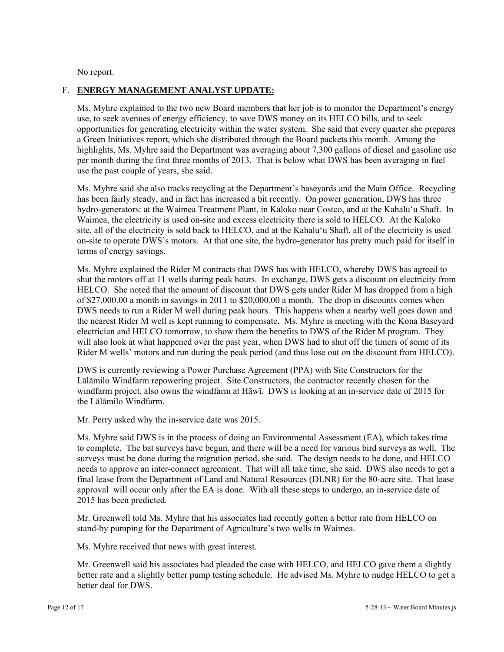No report.

## F. **ENERGY MANAGEMENT ANALYST UPDATE:**

Ms. Myhre explained to the two new Board members that her job is to monitor the Department's energy use, to seek avenues of energy efficiency, to save DWS money on its HELCO bills, and to seek opportunities for generating electricity within the water system. She said that every quarter she prepares a Green Initiatives report, which she distributed through the Board packets this month. Among the highlights, Ms. Myhre said the Department was averaging about 7,300 gallons of diesel and gasoline use per month during the first three months of 2013. That is below what DWS has been averaging in fuel use the past couple of years, she said.

Ms. Myhre said she also tracks recycling at the Department's baseyards and the Main Office. Recycling has been fairly steady, and in fact has increased a bit recently. On power generation, DWS has three hydro-generators: at the Waimea Treatment Plant, in Kaloko near Costco, and at the Kahalu'u Shaft. In Waimea, the electricity is used on-site and excess electricity there is sold to HELCO. At the Kaloko site, all of the electricity is sold back to HELCO, and at the Kahalu'u Shaft, all of the electricity is used on-site to operate DWS's motors. At that one site, the hydro-generator has pretty much paid for itself in terms of energy savings.

Ms. Myhre explained the Rider M contracts that DWS has with HELCO, whereby DWS has agreed to shut the motors off at 11 wells during peak hours. In exchange, DWS gets a discount on electricity from HELCO. She noted that the amount of discount that DWS gets under Rider M has dropped from a high of \$27,000.00 a month in savings in 2011 to \$20,000.00 a month. The drop in discounts comes when DWS needs to run a Rider M well during peak hours. This happens when a nearby well goes down and the nearest Rider M well is kept running to compensate. Ms. Myhre is meeting with the Kona Baseyard electrician and HELCO tomorrow, to show them the benefits to DWS of the Rider M program. They will also look at what happened over the past year, when DWS had to shut off the timers of some of its Rider M wells' motors and run during the peak period (and thus lose out on the discount from HELCO).

DWS is currently reviewing a Power Purchase Agreement (PPA) with Site Constructors for the Lālāmilo Windfarm repowering project. Site Constructors, the contractor recently chosen for the windfarm project, also owns the windfarm at Hāwī. DWS is looking at an in-service date of 2015 for the Lālāmilo Windfarm.

Mr. Perry asked why the in-service date was 2015.

Ms. Myhre said DWS is in the process of doing an Environmental Assessment (EA), which takes time to complete. The bat surveys have begun, and there will be a need for various bird surveys as well. The surveys must be done during the migration period, she said. The design needs to be done, and HELCO needs to approve an inter-connect agreement. That will all take time, she said. DWS also needs to get a final lease from the Department of Land and Natural Resources (DLNR) for the 80-acre site. That lease approval will occur only after the EA is done. With all these steps to undergo, an in-service date of 2015 has been predicted.

Mr. Greenwell told Ms. Myhre that his associates had recently gotten a better rate from HELCO on stand-by pumping for the Department of Agriculture's two wells in Waimea.

Ms. Myhre received that news with great interest.

Mr. Greenwell said his associates had pleaded the case with HELCO, and HELCO gave them a slightly better rate and a slightly better pump testing schedule. He advised Ms. Myhre to nudge HELCO to get a better deal for DWS.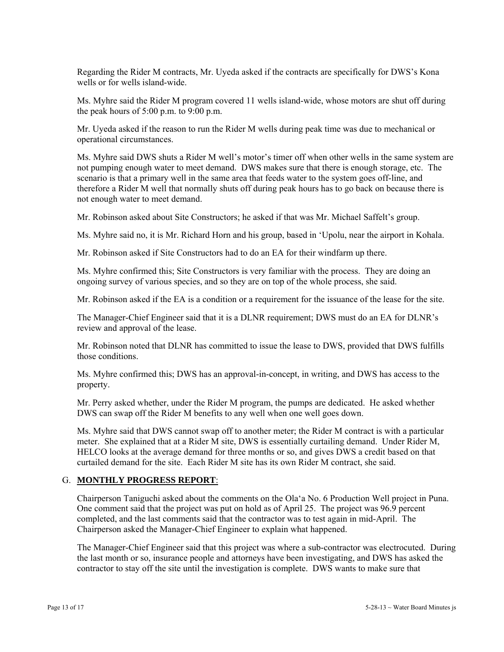Regarding the Rider M contracts, Mr. Uyeda asked if the contracts are specifically for DWS's Kona wells or for wells island-wide.

Ms. Myhre said the Rider M program covered 11 wells island-wide, whose motors are shut off during the peak hours of  $5:00$  p.m. to  $9:00$  p.m.

Mr. Uyeda asked if the reason to run the Rider M wells during peak time was due to mechanical or operational circumstances.

Ms. Myhre said DWS shuts a Rider M well's motor's timer off when other wells in the same system are not pumping enough water to meet demand. DWS makes sure that there is enough storage, etc. The scenario is that a primary well in the same area that feeds water to the system goes off-line, and therefore a Rider M well that normally shuts off during peak hours has to go back on because there is not enough water to meet demand.

Mr. Robinson asked about Site Constructors; he asked if that was Mr. Michael Saffelt's group.

Ms. Myhre said no, it is Mr. Richard Horn and his group, based in 'Upolu, near the airport in Kohala.

Mr. Robinson asked if Site Constructors had to do an EA for their windfarm up there.

Ms. Myhre confirmed this; Site Constructors is very familiar with the process. They are doing an ongoing survey of various species, and so they are on top of the whole process, she said.

Mr. Robinson asked if the EA is a condition or a requirement for the issuance of the lease for the site.

The Manager-Chief Engineer said that it is a DLNR requirement; DWS must do an EA for DLNR's review and approval of the lease.

Mr. Robinson noted that DLNR has committed to issue the lease to DWS, provided that DWS fulfills those conditions.

Ms. Myhre confirmed this; DWS has an approval-in-concept, in writing, and DWS has access to the property.

Mr. Perry asked whether, under the Rider M program, the pumps are dedicated. He asked whether DWS can swap off the Rider M benefits to any well when one well goes down.

Ms. Myhre said that DWS cannot swap off to another meter; the Rider M contract is with a particular meter. She explained that at a Rider M site, DWS is essentially curtailing demand. Under Rider M, HELCO looks at the average demand for three months or so, and gives DWS a credit based on that curtailed demand for the site. Each Rider M site has its own Rider M contract, she said.

## G. **MONTHLY PROGRESS REPORT**:

Chairperson Taniguchi asked about the comments on the Ola'a No. 6 Production Well project in Puna. One comment said that the project was put on hold as of April 25. The project was 96.9 percent completed, and the last comments said that the contractor was to test again in mid-April. The Chairperson asked the Manager-Chief Engineer to explain what happened.

The Manager-Chief Engineer said that this project was where a sub-contractor was electrocuted. During the last month or so, insurance people and attorneys have been investigating, and DWS has asked the contractor to stay off the site until the investigation is complete. DWS wants to make sure that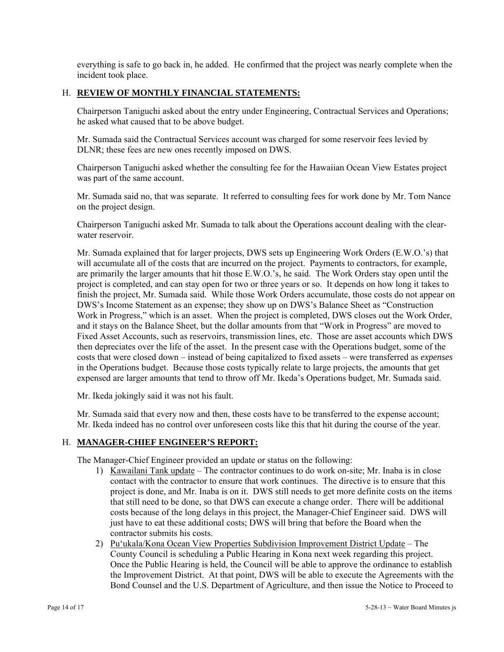everything is safe to go back in, he added. He confirmed that the project was nearly complete when the incident took place.

## H. **REVIEW OF MONTHLY FINANCIAL STATEMENTS:**

Chairperson Taniguchi asked about the entry under Engineering, Contractual Services and Operations; he asked what caused that to be above budget.

Mr. Sumada said the Contractual Services account was charged for some reservoir fees levied by DLNR; these fees are new ones recently imposed on DWS.

Chairperson Taniguchi asked whether the consulting fee for the Hawaiian Ocean View Estates project was part of the same account.

Mr. Sumada said no, that was separate. It referred to consulting fees for work done by Mr. Tom Nance on the project design.

Chairperson Taniguchi asked Mr. Sumada to talk about the Operations account dealing with the clearwater reservoir.

Mr. Sumada explained that for larger projects, DWS sets up Engineering Work Orders (E.W.O.'s) that will accumulate all of the costs that are incurred on the project. Payments to contractors, for example, are primarily the larger amounts that hit those E.W.O.'s, he said. The Work Orders stay open until the project is completed, and can stay open for two or three years or so. It depends on how long it takes to finish the project, Mr. Sumada said. While those Work Orders accumulate, those costs do not appear on DWS's Income Statement as an expense; they show up on DWS's Balance Sheet as "Construction Work in Progress," which is an asset. When the project is completed, DWS closes out the Work Order, and it stays on the Balance Sheet, but the dollar amounts from that "Work in Progress" are moved to Fixed Asset Accounts, such as reservoirs, transmission lines, etc. Those are asset accounts which DWS then depreciates over the life of the asset. In the present case with the Operations budget, some of the costs that were closed down – instead of being capitalized to fixed assets – were transferred as *expenses*  in the Operations budget. Because those costs typically relate to large projects, the amounts that get expensed are larger amounts that tend to throw off Mr. Ikeda's Operations budget, Mr. Sumada said.

Mr. Ikeda jokingly said it was not his fault.

Mr. Sumada said that every now and then, these costs have to be transferred to the expense account; Mr. Ikeda indeed has no control over unforeseen costs like this that hit during the course of the year.

## H. **MANAGER-CHIEF ENGINEER'S REPORT:**

The Manager-Chief Engineer provided an update or status on the following:

- 1) Kawailani Tank update The contractor continues to do work on-site; Mr. Inaba is in close contact with the contractor to ensure that work continues. The directive is to ensure that this project is done, and Mr. Inaba is on it. DWS still needs to get more definite costs on the items that still need to be done, so that DWS can execute a change order. There will be additional costs because of the long delays in this project, the Manager-Chief Engineer said. DWS will just have to eat these additional costs; DWS will bring that before the Board when the contractor submits his costs.
- 2) Pu'ukala/Kona Ocean View Properties Subdivision Improvement District Update The County Council is scheduling a Public Hearing in Kona next week regarding this project. Once the Public Hearing is held, the Council will be able to approve the ordinance to establish the Improvement District. At that point, DWS will be able to execute the Agreements with the Bond Counsel and the U.S. Department of Agriculture, and then issue the Notice to Proceed to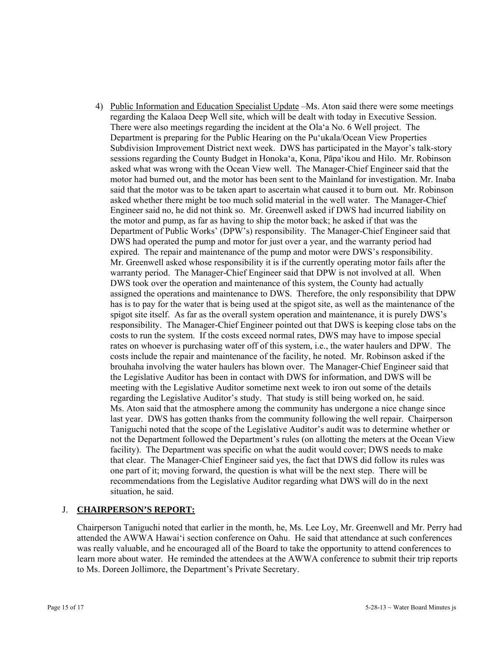4) Public Information and Education Specialist Update –Ms. Aton said there were some meetings regarding the Kalaoa Deep Well site, which will be dealt with today in Executive Session. There were also meetings regarding the incident at the Ola'a No. 6 Well project. The Department is preparing for the Public Hearing on the Pu'ukala/Ocean View Properties Subdivision Improvement District next week. DWS has participated in the Mayor's talk-story sessions regarding the County Budget in Honoka'a, Kona, Pāpa'ikou and Hilo. Mr. Robinson asked what was wrong with the Ocean View well. The Manager-Chief Engineer said that the motor had burned out, and the motor has been sent to the Mainland for investigation. Mr. Inaba said that the motor was to be taken apart to ascertain what caused it to burn out. Mr. Robinson asked whether there might be too much solid material in the well water. The Manager-Chief Engineer said no, he did not think so. Mr. Greenwell asked if DWS had incurred liability on the motor and pump, as far as having to ship the motor back; he asked if that was the Department of Public Works' (DPW's) responsibility. The Manager-Chief Engineer said that DWS had operated the pump and motor for just over a year, and the warranty period had expired. The repair and maintenance of the pump and motor were DWS's responsibility. Mr. Greenwell asked whose responsibility it is if the currently operating motor fails after the warranty period. The Manager-Chief Engineer said that DPW is not involved at all. When DWS took over the operation and maintenance of this system, the County had actually assigned the operations and maintenance to DWS. Therefore, the only responsibility that DPW has is to pay for the water that is being used at the spigot site, as well as the maintenance of the spigot site itself. As far as the overall system operation and maintenance, it is purely DWS's responsibility. The Manager-Chief Engineer pointed out that DWS is keeping close tabs on the costs to run the system. If the costs exceed normal rates, DWS may have to impose special rates on whoever is purchasing water off of this system, i.e., the water haulers and DPW. The costs include the repair and maintenance of the facility, he noted. Mr. Robinson asked if the brouhaha involving the water haulers has blown over. The Manager-Chief Engineer said that the Legislative Auditor has been in contact with DWS for information, and DWS will be meeting with the Legislative Auditor sometime next week to iron out some of the details regarding the Legislative Auditor's study. That study is still being worked on, he said. Ms. Aton said that the atmosphere among the community has undergone a nice change since last year. DWS has gotten thanks from the community following the well repair. Chairperson Taniguchi noted that the scope of the Legislative Auditor's audit was to determine whether or not the Department followed the Department's rules (on allotting the meters at the Ocean View facility). The Department was specific on what the audit would cover; DWS needs to make that clear. The Manager-Chief Engineer said yes, the fact that DWS did follow its rules was one part of it; moving forward, the question is what will be the next step. There will be recommendations from the Legislative Auditor regarding what DWS will do in the next situation, he said.

# J. **CHAIRPERSON'S REPORT:**

Chairperson Taniguchi noted that earlier in the month, he, Ms. Lee Loy, Mr. Greenwell and Mr. Perry had attended the AWWA Hawai'i section conference on Oahu. He said that attendance at such conferences was really valuable, and he encouraged all of the Board to take the opportunity to attend conferences to learn more about water. He reminded the attendees at the AWWA conference to submit their trip reports to Ms. Doreen Jollimore, the Department's Private Secretary.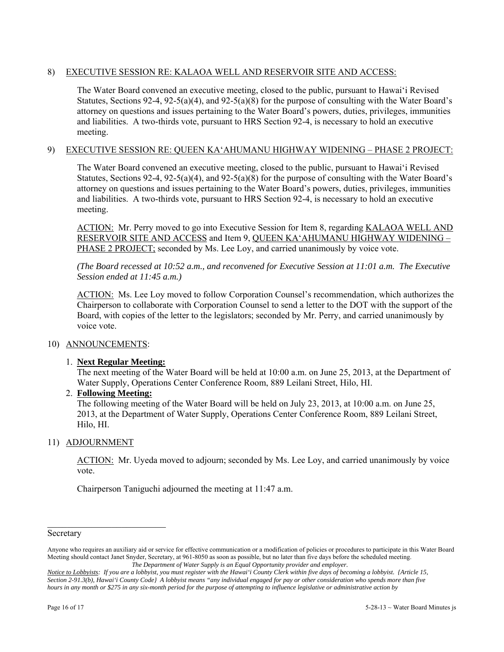## 8) EXECUTIVE SESSION RE: KALAOA WELL AND RESERVOIR SITE AND ACCESS:

The Water Board convened an executive meeting, closed to the public, pursuant to Hawai'i Revised Statutes, Sections 92-4, 92-5(a)(4), and 92-5(a)(8) for the purpose of consulting with the Water Board's attorney on questions and issues pertaining to the Water Board's powers, duties, privileges, immunities and liabilities. A two-thirds vote, pursuant to HRS Section 92-4, is necessary to hold an executive meeting.

## 9) EXECUTIVE SESSION RE: QUEEN KA'AHUMANU HIGHWAY WIDENING – PHASE 2 PROJECT:

The Water Board convened an executive meeting, closed to the public, pursuant to Hawai'i Revised Statutes, Sections  $92-4$ ,  $92-5(a)(4)$ , and  $92-5(a)(8)$  for the purpose of consulting with the Water Board's attorney on questions and issues pertaining to the Water Board's powers, duties, privileges, immunities and liabilities. A two-thirds vote, pursuant to HRS Section 92-4, is necessary to hold an executive meeting.

ACTION: Mr. Perry moved to go into Executive Session for Item 8, regarding KALAOA WELL AND RESERVOIR SITE AND ACCESS and Item 9, QUEEN KA'AHUMANU HIGHWAY WIDENING – PHASE 2 PROJECT; seconded by Ms. Lee Loy, and carried unanimously by voice vote.

*(The Board recessed at 10:52 a.m., and reconvened for Executive Session at 11:01 a.m. The Executive Session ended at 11:45 a.m.)* 

ACTION: Ms. Lee Loy moved to follow Corporation Counsel's recommendation, which authorizes the Chairperson to collaborate with Corporation Counsel to send a letter to the DOT with the support of the Board, with copies of the letter to the legislators; seconded by Mr. Perry, and carried unanimously by voice vote.

## 10) ANNOUNCEMENTS:

## 1. **Next Regular Meeting:**

The next meeting of the Water Board will be held at 10:00 a.m. on June 25, 2013, at the Department of Water Supply, Operations Center Conference Room, 889 Leilani Street, Hilo, HI.

## 2. **Following Meeting:**

 $\mathcal{L}_\text{max}$ 

The following meeting of the Water Board will be held on July 23, 2013, at 10:00 a.m. on June 25, 2013, at the Department of Water Supply, Operations Center Conference Room, 889 Leilani Street, Hilo, HI.

# 11) ADJOURNMENT

ACTION: Mr. Uyeda moved to adjourn; seconded by Ms. Lee Loy, and carried unanimously by voice vote.

Chairperson Taniguchi adjourned the meeting at 11:47 a.m.

Secretary

Anyone who requires an auxiliary aid or service for effective communication or a modification of policies or procedures to participate in this Water Board Meeting should contact Janet Snyder, Secretary, at 961-8050 as soon as possible, but no later than five days before the scheduled meeting. *The Department of Water Supply is an Equal Opportunity provider and employer.* 

*Notice to Lobbyists: If you are a lobbyist, you must register with the Hawai'i County Clerk within five days of becoming a lobbyist. {Article 15, Section 2-91.3(b), Hawai'i County Code} A lobbyist means "any individual engaged for pay or other consideration who spends more than five hours in any month or \$275 in any six-month period for the purpose of attempting to influence legislative or administrative action by*